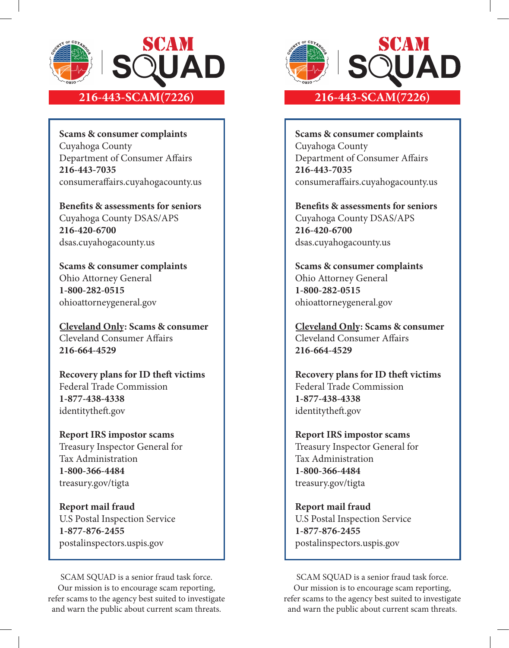

**Scams & consumer complaints** Cuyahoga County Department of Consumer Affairs **216-443-7035** consumeraffairs.cuyahogacounty.us

**Benefits & assessments for seniors** Cuyahoga County DSAS/APS **216-420-6700** dsas.cuyahogacounty.us

**Scams & consumer complaints** Ohio Attorney General **1-800-282-0515** ohioattorneygeneral.gov

**Cleveland Only: Scams & consumer**  Cleveland Consumer Affairs **216-664-4529**

**Recovery plans for ID theft victims** Federal Trade Commission **1-877-438-4338** identitytheft.gov

**Report IRS impostor scams** Treasury Inspector General for Tax Administration **1-800-366-4484** treasury.gov/tigta

**Report mail fraud** U.S Postal Inspection Service **1-877-876-2455** postalinspectors.uspis.gov

SCAM SQUAD is a senior fraud task force. Our mission is to encourage scam reporting, refer scams to the agency best suited to investigate and warn the public about current scam threats.



**Scams & consumer complaints** Cuyahoga County Department of Consumer Affairs **216-443-7035** consumeraffairs.cuyahogacounty.us

**Benefits & assessments for seniors** Cuyahoga County DSAS/APS **216-420-6700** dsas.cuyahogacounty.us

**Scams & consumer complaints** Ohio Attorney General **1-800-282-0515** ohioattorneygeneral.gov

**Cleveland Only: Scams & consumer**  Cleveland Consumer Affairs **216-664-4529**

**Recovery plans for ID theft victims** Federal Trade Commission **1-877-438-4338** identitytheft.gov

**Report IRS impostor scams** Treasury Inspector General for Tax Administration **1-800-366-4484** treasury.gov/tigta

# **Report mail fraud** U.S Postal Inspection Service **1-877-876-2455**

postalinspectors.uspis.gov

SCAM SQUAD is a senior fraud task force. Our mission is to encourage scam reporting, refer scams to the agency best suited to investigate and warn the public about current scam threats.